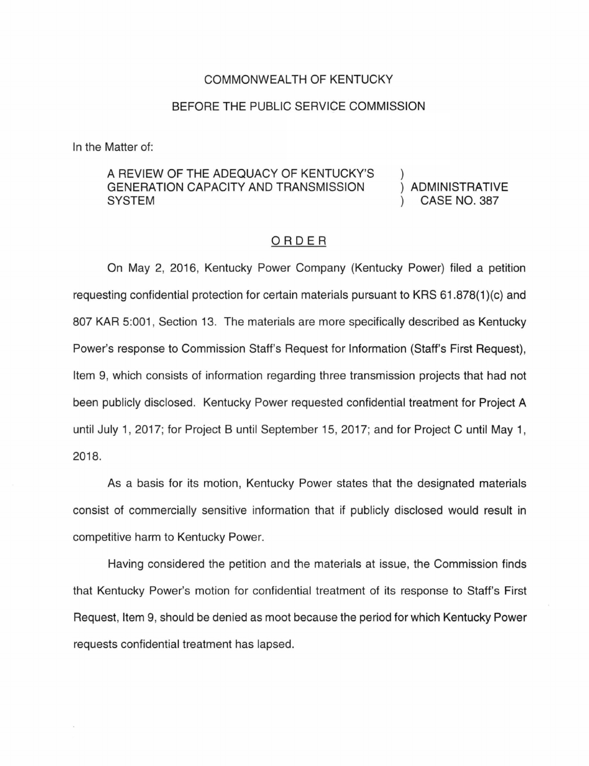#### COMMONWEALTH OF KENTUCKY

## BEFORE THE PUBLIC SERVICE COMMISSION

In the Matter of:

## A REVIEW OF THE ADEQUACY OF KENTUCKY'S GENERATION CAPACITY AND TRANSMISSION **SYSTEM**

ADMINISTRATIVE CASE NO. 387

### ORDER

On May 2, 2016, Kentucky Power Company (Kentucky Power) filed a petition requesting confidential protection for certain materials pursuant to KRS 61.878(1 )(c) and 807 KAR 5:001, Section 13. The materials are more specifically described as Kentucky Power's response to Commission Staff's Request for Information (Staff's First Request), Item 9, which consists of information regarding three transmission projects that had not been publicly disclosed. Kentucky Power requested confidential treatment for Project A until July 1, 2017; for Project B until September 15, 2017; and for Project C until May 1, 2018.

As a basis for its motion, Kentucky Power states that the designated materials consist of commercially sensitive information that if publicly disclosed would result in competitive harm to Kentucky Power.

Having considered the petition and the materials at issue, the Commission finds that Kentucky Power's motion for confidential treatment of its response to Staff's First Request, Item 9, should be denied as moot because the period for which Kentucky Power requests confidential treatment has lapsed.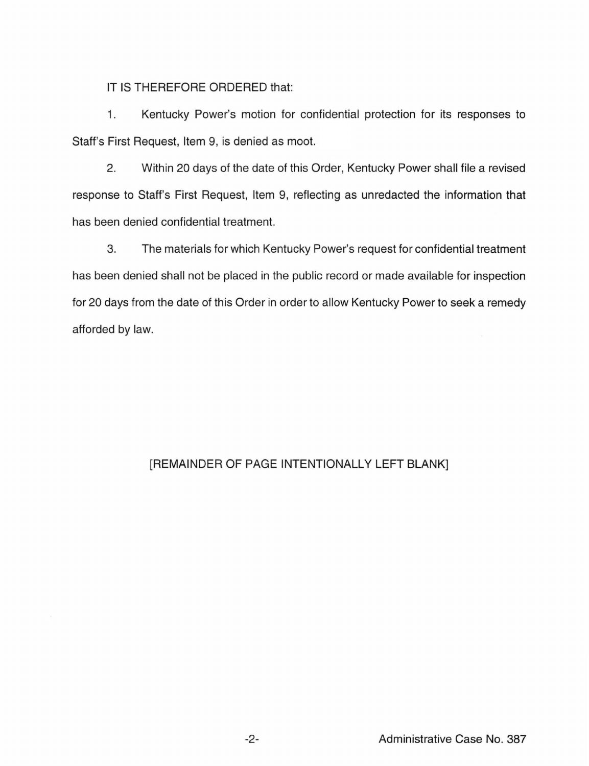IT IS THEREFORE ORDERED that:

1. Kentucky Power's motion for confidential protection for its responses to Staff's First Request, Item 9, is denied as moot.

2. Within 20 days of the date of this Order, Kentucky Power shall file a revised response to Staff's First Request, Item 9, reflecting as unredacted the information that has been denied confidential treatment.

3. The materials for which Kentucky Power's request for confidential treatment has been denied shall not be placed in the public record or made available for inspection for 20 days from the date of this Order in order to allow Kentucky Power to seek a remedy afforded by law.

# [REMAINDER OF PAGE INTENTIONALLY LEFT BLANK]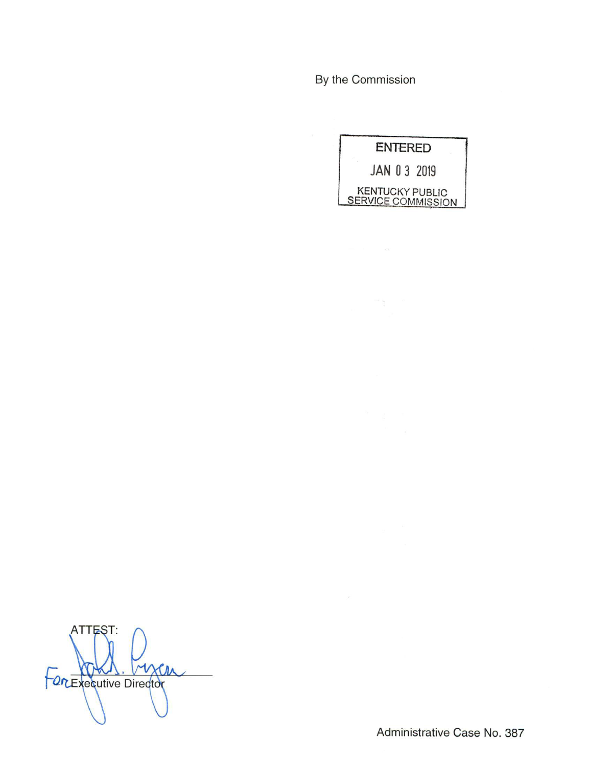By the Commission

|                                                     | <b>ENTERED</b> |  |
|-----------------------------------------------------|----------------|--|
| JAN 0 3 2019                                        |                |  |
| <b>KENTUCKY PUBLIC</b><br><b>SERVICE COMMISSION</b> |                |  |

**ATTEST:** For Executive Director

Administrative Case No. 387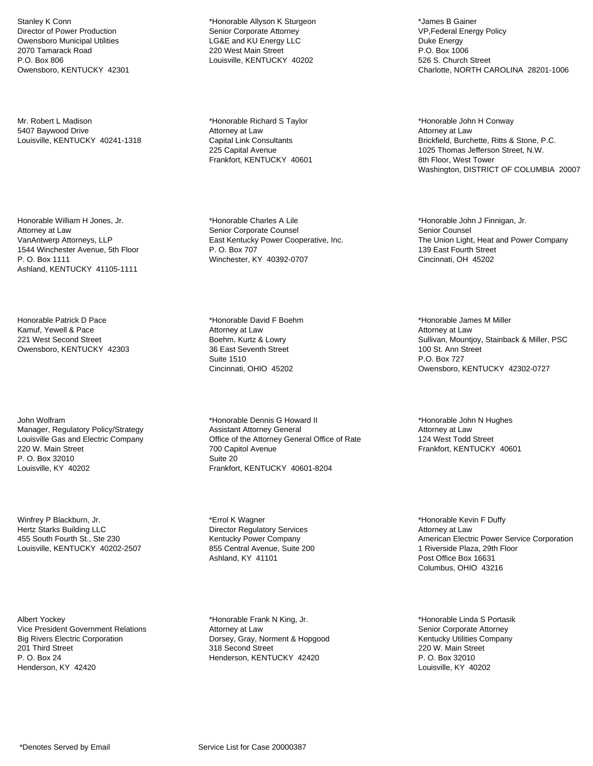Stanley K Conn Director of Power Production Owensboro Municipal Utilities 2070 Tamarack Road P.O. Box 806 Owensboro, KENTUCKY 42301

Mr. Robert L Madison 5407 Baywood Drive Louisville, KENTUCKY 40241-1318

Honorable William H Jones, Jr. Attorney at Law VanAntwerp Attorneys, LLP 1544 Winchester Avenue, 5th Floor P. O. Box 1111 Ashland, KENTUCKY 41105-1111

Honorable Patrick D Pace Kamuf, Yewell & Pace 221 West Second Street Owensboro, KENTUCKY 42303

John Wolfram Manager, Regulatory Policy/Strategy Louisville Gas and Electric Company 220 W. Main Street P. O. Box 32010 Louisville, KY 40202

Winfrey P Blackburn, Jr. Hertz Starks Building LLC 455 South Fourth St., Ste 230 Louisville, KENTUCKY 40202-2507

Albert Yockey Vice President Government Relations Big Rivers Electric Corporation 201 Third Street P. O. Box 24 Henderson, KY 42420

\*Honorable Allyson K Sturgeon Senior Corporate Attorney LG&E and KU Energy LLC 220 West Main Street Louisville, KENTUCKY 40202

\*Honorable Richard S Taylor Attorney at Law Capital Link Consultants 225 Capital Avenue Frankfort, KENTUCKY 40601

\*Honorable Charles A Lile Senior Corporate Counsel East Kentucky Power Cooperative, Inc. P. O. Box 707 Winchester, KY 40392-0707

\*Honorable David F Boehm Attorney at Law Boehm, Kurtz & Lowry 36 East Seventh Street Suite 1510 Cincinnati, OHIO 45202

\*Honorable Dennis G Howard II Assistant Attorney General Office of the Attorney General Office of Rate 700 Capitol Avenue Suite 20 Frankfort, KENTUCKY 40601-8204

\*Errol K Wagner Director Regulatory Services Kentucky Power Company 855 Central Avenue, Suite 200 Ashland, KY 41101

\*Honorable Frank N King, Jr. Attorney at Law Dorsey, Gray, Norment & Hopgood 318 Second Street Henderson, KENTUCKY 42420

\*James B Gainer VP,Federal Energy Policy Duke Energy P.O. Box 1006 526 S. Church Street Charlotte, NORTH CAROLINA 28201-1006

\*Honorable John H Conway Attorney at Law Brickfield, Burchette, Ritts & Stone, P.C. 1025 Thomas Jefferson Street, N.W. 8th Floor, West Tower Washington, DISTRICT OF COLUMBIA 20007

\*Honorable John J Finnigan, Jr. Senior Counsel The Union Light, Heat and Power Company 139 East Fourth Street Cincinnati, OH 45202

\*Honorable James M Miller Attorney at Law Sullivan, Mountjoy, Stainback & Miller, PSC 100 St. Ann Street P.O. Box 727 Owensboro, KENTUCKY 42302-0727

\*Honorable John N Hughes Attorney at Law 124 West Todd Street Frankfort, KENTUCKY 40601

\*Honorable Kevin F Duffy Attorney at Law American Electric Power Service Corporation 1 Riverside Plaza, 29th Floor Post Office Box 16631 Columbus, OHIO 43216

\*Honorable Linda S Portasik Senior Corporate Attorney Kentucky Utilities Company 220 W. Main Street P. O. Box 32010 Louisville, KY 40202